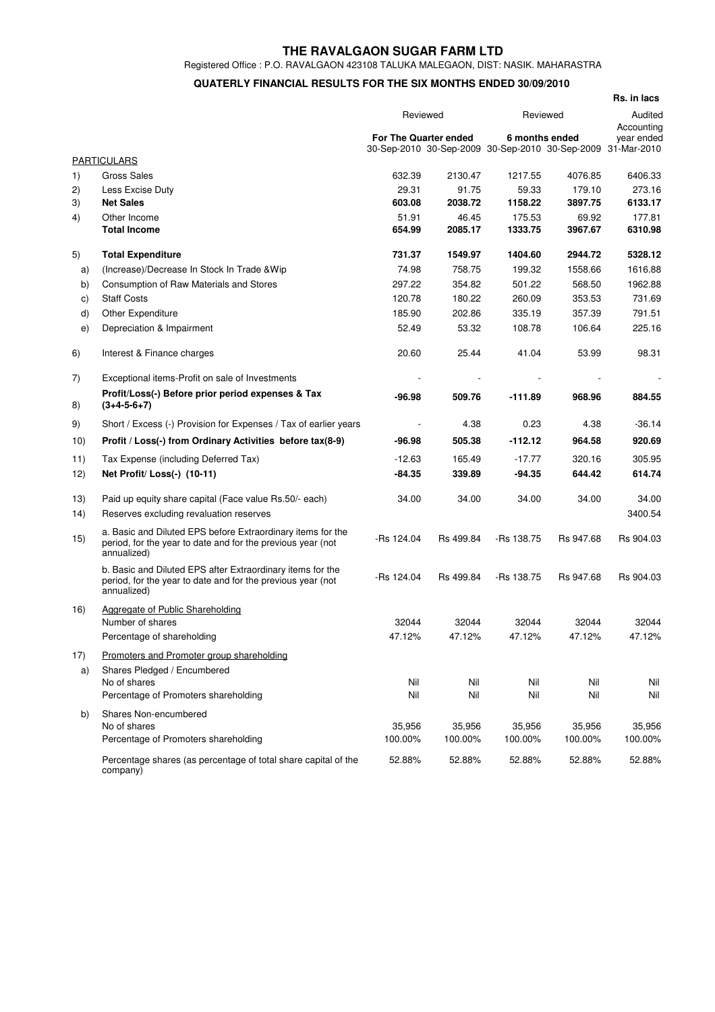## **THE RAVALGAON SUGAR FARM LTD**

Registered Office : P.O. RAVALGAON 423108 TALUKA MALEGAON, DIST: NASIK. MAHARASTRA

## **QUATERLY FINANCIAL RESULTS FOR THE SIX MONTHS ENDED 30/09/2010**

|            |                                                                                                                                           |                                                                          |           |                |           | Rs. in lacs                             |
|------------|-------------------------------------------------------------------------------------------------------------------------------------------|--------------------------------------------------------------------------|-----------|----------------|-----------|-----------------------------------------|
|            |                                                                                                                                           |                                                                          | Reviewed  |                | Reviewed  |                                         |
|            |                                                                                                                                           | For The Quarter ended<br>30-Sep-2010 30-Sep-2009 30-Sep-2010 30-Sep-2009 |           | 6 months ended |           | Accounting<br>year ended<br>31-Mar-2010 |
|            | <b>PARTICULARS</b>                                                                                                                        |                                                                          |           |                |           |                                         |
| 1)         | <b>Gross Sales</b>                                                                                                                        | 632.39                                                                   | 2130.47   | 1217.55        | 4076.85   | 6406.33                                 |
| 2)         | Less Excise Duty                                                                                                                          | 29.31                                                                    | 91.75     | 59.33          | 179.10    | 273.16                                  |
| 3)         | <b>Net Sales</b>                                                                                                                          | 603.08                                                                   | 2038.72   | 1158.22        | 3897.75   | 6133.17                                 |
| 4)         | Other Income                                                                                                                              | 51.91                                                                    | 46.45     | 175.53         | 69.92     | 177.81                                  |
|            | <b>Total Income</b>                                                                                                                       | 654.99                                                                   | 2085.17   | 1333.75        | 3967.67   | 6310.98                                 |
| 5)         | <b>Total Expenditure</b>                                                                                                                  | 731.37                                                                   | 1549.97   | 1404.60        | 2944.72   | 5328.12                                 |
| a)         | (Increase)/Decrease In Stock In Trade & Wip                                                                                               | 74.98                                                                    | 758.75    | 199.32         | 1558.66   | 1616.88                                 |
| b)         | Consumption of Raw Materials and Stores                                                                                                   | 297.22                                                                   | 354.82    | 501.22         | 568.50    | 1962.88                                 |
| C)         | <b>Staff Costs</b>                                                                                                                        | 120.78                                                                   | 180.22    | 260.09         | 353.53    | 731.69                                  |
| d)         | <b>Other Expenditure</b>                                                                                                                  | 185.90                                                                   | 202.86    | 335.19         | 357.39    | 791.51                                  |
| e)         | Depreciation & Impairment                                                                                                                 | 52.49                                                                    | 53.32     | 108.78         | 106.64    | 225.16                                  |
| 6)         | Interest & Finance charges                                                                                                                | 20.60                                                                    | 25.44     | 41.04          | 53.99     | 98.31                                   |
| 7)         | Exceptional items-Profit on sale of Investments                                                                                           |                                                                          |           |                |           |                                         |
| 8)         | Profit/Loss(-) Before prior period expenses & Tax<br>$(3+4-5-6+7)$                                                                        | $-96.98$                                                                 | 509.76    | $-111.89$      | 968.96    | 884.55                                  |
| 9)         | Short / Excess (-) Provision for Expenses / Tax of earlier years                                                                          |                                                                          | 4.38      | 0.23           | 4.38      | $-36.14$                                |
| 10)        | Profit / Loss(-) from Ordinary Activities before tax(8-9)                                                                                 | $-96.98$                                                                 | 505.38    | $-112.12$      | 964.58    | 920.69                                  |
| 11)        | Tax Expense (including Deferred Tax)                                                                                                      | $-12.63$                                                                 | 165.49    | $-17.77$       | 320.16    | 305.95                                  |
| 12)        | Net Profit/ Loss(-) (10-11)                                                                                                               | $-84.35$                                                                 | 339.89    | -94.35         | 644.42    | 614.74                                  |
| 13)<br>14) | Paid up equity share capital (Face value Rs.50/- each)<br>Reserves excluding revaluation reserves                                         | 34.00                                                                    | 34.00     | 34.00          | 34.00     | 34.00<br>3400.54                        |
| 15)        | a. Basic and Diluted EPS before Extraordinary items for the<br>period, for the year to date and for the previous year (not<br>annualized) | -Rs 124.04                                                               | Rs 499.84 | -Rs 138.75     | Rs 947.68 | Rs 904.03                               |
|            | b. Basic and Diluted EPS after Extraordinary items for the<br>period, for the year to date and for the previous year (not<br>annualized)  | $-Rs$ 124.04                                                             | Rs 499.84 | -Rs 138.75     | Rs 947.68 | Rs 904.03                               |
| 16)        | Aggregate of Public Shareholding<br>Number of shares                                                                                      | 32044                                                                    | 32044     | 32044          | 32044     | 32044                                   |
|            | Percentage of shareholding                                                                                                                | 47.12%                                                                   | 47.12%    | 47.12%         | 47.12%    | 47.12%                                  |
| 17)        | Promoters and Promoter group shareholding                                                                                                 |                                                                          |           |                |           |                                         |
| a)         | Shares Pledged / Encumbered                                                                                                               |                                                                          |           |                |           |                                         |
|            | No of shares                                                                                                                              | Nil                                                                      | Nil       | Nil            | Nil       | Nil                                     |
|            | Percentage of Promoters shareholding                                                                                                      | Nil                                                                      | Nil       | Nil            | Nil       | Nil                                     |
| b)         | Shares Non-encumbered                                                                                                                     |                                                                          |           |                |           |                                         |
|            | No of shares                                                                                                                              | 35,956                                                                   | 35,956    | 35,956         | 35,956    | 35,956                                  |
|            | Percentage of Promoters shareholding                                                                                                      | 100.00%                                                                  | 100.00%   | 100.00%        | 100.00%   | 100.00%                                 |
|            | Percentage shares (as percentage of total share capital of the<br>company)                                                                | 52.88%                                                                   | 52.88%    | 52.88%         | 52.88%    | 52.88%                                  |